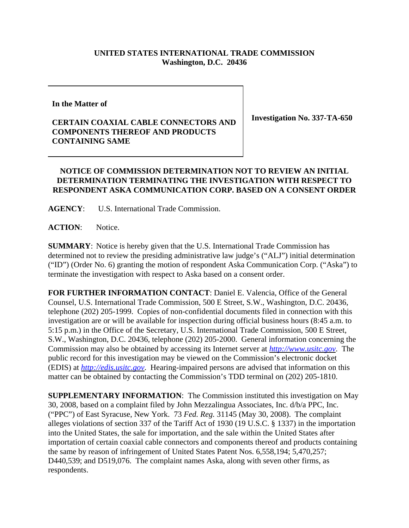## **UNITED STATES INTERNATIONAL TRADE COMMISSION Washington, D.C. 20436**

**In the Matter of** 

## **CERTAIN COAXIAL CABLE CONNECTORS AND COMPONENTS THEREOF AND PRODUCTS CONTAINING SAME**

**Investigation No. 337-TA-650**

## **NOTICE OF COMMISSION DETERMINATION NOT TO REVIEW AN INITIAL DETERMINATION TERMINATING THE INVESTIGATION WITH RESPECT TO RESPONDENT ASKA COMMUNICATION CORP. BASED ON A CONSENT ORDER**

**AGENCY**: U.S. International Trade Commission.

**ACTION**: Notice.

**SUMMARY**: Notice is hereby given that the U.S. International Trade Commission has determined not to review the presiding administrative law judge's ("ALJ") initial determination ("ID") (Order No. 6) granting the motion of respondent Aska Communication Corp. ("Aska") to terminate the investigation with respect to Aska based on a consent order.

**FOR FURTHER INFORMATION CONTACT**: Daniel E. Valencia, Office of the General Counsel, U.S. International Trade Commission, 500 E Street, S.W., Washington, D.C. 20436, telephone (202) 205-1999. Copies of non-confidential documents filed in connection with this investigation are or will be available for inspection during official business hours (8:45 a.m. to 5:15 p.m.) in the Office of the Secretary, U.S. International Trade Commission, 500 E Street, S.W., Washington, D.C. 20436, telephone (202) 205-2000. General information concerning the Commission may also be obtained by accessing its Internet server at *http://www.usitc.gov*. The public record for this investigation may be viewed on the Commission's electronic docket (EDIS) at *http://edis.usitc.gov*. Hearing-impaired persons are advised that information on this matter can be obtained by contacting the Commission's TDD terminal on (202) 205-1810.

**SUPPLEMENTARY INFORMATION**: The Commission instituted this investigation on May 30, 2008, based on a complaint filed by John Mezzalingua Associates, Inc. d/b/a PPC, Inc. ("PPC") of East Syracuse, New York. 73 *Fed. Reg.* 31145 (May 30, 2008). The complaint alleges violations of section 337 of the Tariff Act of 1930 (19 U.S.C. § 1337) in the importation into the United States, the sale for importation, and the sale within the United States after importation of certain coaxial cable connectors and components thereof and products containing the same by reason of infringement of United States Patent Nos. 6,558,194; 5,470,257; D440,539; and D519,076. The complaint names Aska, along with seven other firms, as respondents.